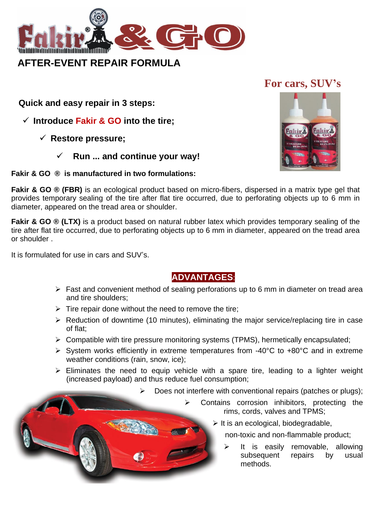

## **AFTER-EVENT REPAIR FORMULA**

### **Quick and easy repair in 3 steps:**

- ✓ **Introduce Fakir & GO into the tire;**
	- ✓ **Restore pressure;**
		- ✓ **Run ... and continue your way!**

**Fakir & GO ® is manufactured in two formulations:**

**Fakir & GO ® (FBR)** is an ecological product based on micro-fibers, dispersed in a matrix type gel that provides temporary sealing of the tire after flat tire occurred, due to perforating objects up to 6 mm in diameter, appeared on the tread area or shoulder.

**Fakir & GO ® (LTX)** is a product based on natural rubber latex which provides temporary sealing of the tire after flat tire occurred, due to perforating objects up to 6 mm in diameter, appeared on the tread area or shoulder .

It is formulated for use in cars and SUV's.

# **ADVANTAGES**:

- ➢ Fast and convenient method of sealing perforations up to 6 mm in diameter on tread area and tire shoulders;
- $\triangleright$  Tire repair done without the need to remove the tire;
- ➢ Reduction of downtime (10 minutes), eliminating the major service/replacing tire in case of flat;
- ➢ Compatible with tire pressure monitoring systems (TPMS), hermetically encapsulated;
- ➢ System works efficiently in extreme temperatures from -40°C to +80°C and in extreme weather conditions (rain, snow, ice);
- $\triangleright$  Eliminates the need to equip vehicle with a spare tire, leading to a lighter weight (increased payload) and thus reduce fuel consumption;
	- Does not interfere with conventional repairs (patches or plugs);
		- ➢ Contains corrosion inhibitors, protecting the rims, cords, valves and TPMS;
			- $\triangleright$  It is an ecological, biodegradable,
				- non-toxic and non-flammable product;
					- ➢ It is easily removable, allowing subsequent repairs by usual methods.





 **For cars, SUV's**